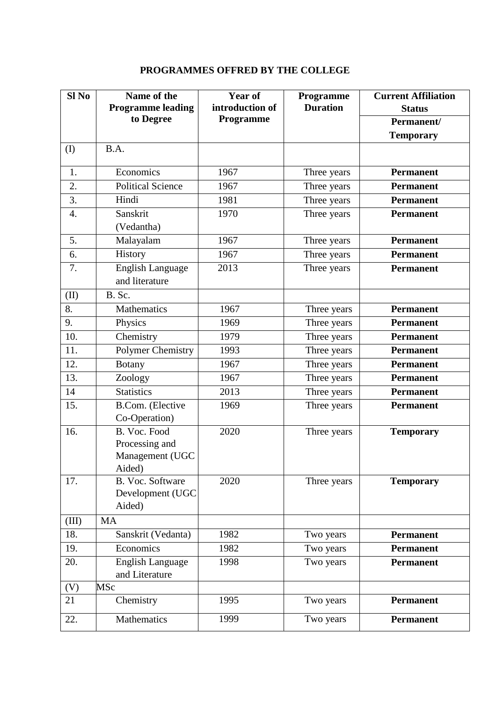| $SI$ No | Name of the<br><b>Programme leading</b>                     | <b>Year of</b><br>introduction of | Programme<br><b>Duration</b> | <b>Current Affiliation</b><br><b>Status</b> |
|---------|-------------------------------------------------------------|-----------------------------------|------------------------------|---------------------------------------------|
|         | to Degree                                                   | Programme                         |                              | Permanent/                                  |
|         |                                                             |                                   |                              | <b>Temporary</b>                            |
| (I)     | B.A.                                                        |                                   |                              |                                             |
| 1.      | Economics                                                   | 1967                              | Three years                  | <b>Permanent</b>                            |
| 2.      | Political Science                                           | 1967                              | Three years                  | <b>Permanent</b>                            |
| 3.      | Hindi                                                       | 1981                              | Three years                  | <b>Permanent</b>                            |
| 4.      | Sanskrit                                                    | 1970                              | Three years                  | <b>Permanent</b>                            |
|         | (Vedantha)                                                  |                                   |                              |                                             |
| 5.      | Malayalam                                                   | 1967                              | Three years                  | <b>Permanent</b>                            |
| 6.      | History                                                     | 1967                              | Three years                  | <b>Permanent</b>                            |
| 7.      | <b>English Language</b>                                     | 2013                              | Three years                  | <b>Permanent</b>                            |
|         | and literature                                              |                                   |                              |                                             |
| (II)    | B. Sc.                                                      |                                   |                              |                                             |
| 8.      | Mathematics                                                 | 1967                              | Three years                  | <b>Permanent</b>                            |
| 9.      | Physics                                                     | 1969                              | Three years                  | <b>Permanent</b>                            |
| 10.     | Chemistry                                                   | 1979                              | Three years                  | <b>Permanent</b>                            |
| 11.     | Polymer Chemistry                                           | 1993                              | Three years                  | <b>Permanent</b>                            |
| 12.     | <b>Botany</b>                                               | 1967                              | Three years                  | <b>Permanent</b>                            |
| 13.     | Zoology                                                     | 1967                              | Three years                  | <b>Permanent</b>                            |
| 14      | <b>Statistics</b>                                           | 2013                              | Three years                  | <b>Permanent</b>                            |
| 15.     | B.Com. (Elective<br>Co-Operation)                           | 1969                              | Three years                  | <b>Permanent</b>                            |
| 16.     | B. Voc. Food<br>Processing and<br>Management (UGC<br>Aided) | 2020                              | Three years                  | <b>Temporary</b>                            |
| 17.     | B. Voc. Software<br>Development (UGC<br>Aided)              | 2020                              | Three years                  | <b>Temporary</b>                            |
| (III)   | MA                                                          |                                   |                              |                                             |
| 18.     | Sanskrit (Vedanta)                                          | 1982                              | Two years                    | <b>Permanent</b>                            |
| 19.     | Economics                                                   | 1982                              | Two years                    | <b>Permanent</b>                            |
| 20.     | <b>English Language</b><br>and Literature                   | 1998                              | Two years                    | <b>Permanent</b>                            |
| (V)     | MSc                                                         |                                   |                              |                                             |
| 21      | Chemistry                                                   | 1995                              | Two years                    | <b>Permanent</b>                            |
| 22.     | Mathematics                                                 | 1999                              | Two years                    | <b>Permanent</b>                            |

## **PROGRAMMES OFFRED BY THE COLLEGE**